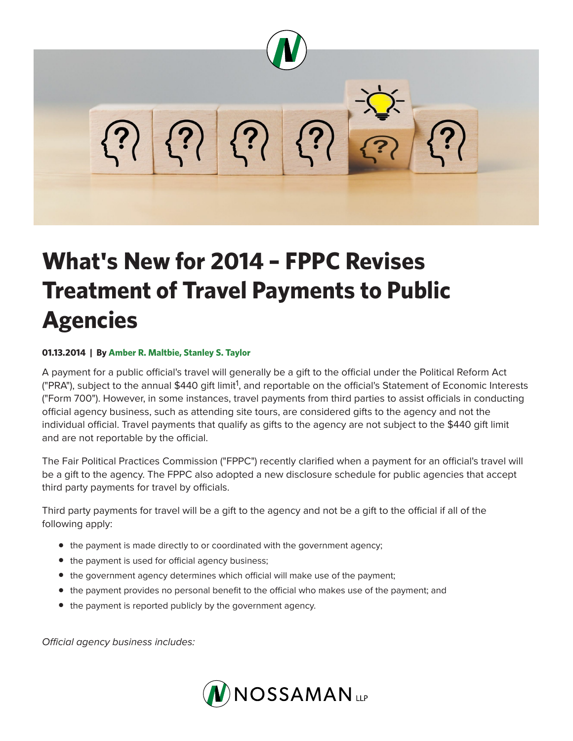

## **What's New for 2014 – FPPC Revises Treatment of Travel Payments to Public Agencies**

## **01.13.2014 | By Amber R. Maltbie, Stanley S. Taylor**

A payment for a public official's travel will generally be a gift to the official under the Political Reform Act ("PRA"), subject to the annual \$440 gift limit<sup>1</sup>, and reportable on the official's Statement of Economic Interests ("Form 700"). However, in some instances, travel payments from third parties to assist officials in conducting official agency business, such as attending site tours, are considered gifts to the agency and not the individual official. Travel payments that qualify as gifts to the agency are not subject to the \$440 gift limit and are not reportable by the official.

The Fair Political Practices Commission ("FPPC") recently clarified when a payment for an official's travel will be a gift to the agency. The FPPC also adopted a new disclosure schedule for public agencies that accept third party payments for travel by officials.

Third party payments for travel will be a gift to the agency and not be a gift to the official if all of the following apply:

- the payment is made directly to or coordinated with the government agency;
- the payment is used for official agency business;
- the government agency determines which official will make use of the payment;
- the payment provides no personal benefit to the official who makes use of the payment; and
- the payment is reported publicly by the government agency.

*Official agency business includes:*